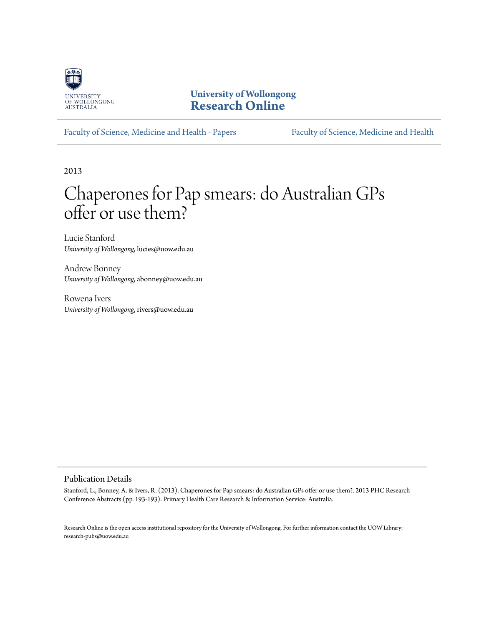

**University of Wollongong [Research Online](http://ro.uow.edu.au)**

[Faculty of Science, Medicine and Health - Papers](http://ro.uow.edu.au/smhpapers) [Faculty of Science, Medicine and Health](http://ro.uow.edu.au/smh)

2013

# Chaperones for Pap smears: do Australian GPs offer or use them?

Lucie Stanford *University of Wollongong*, lucies@uow.edu.au

Andrew Bonney *University of Wollongong*, abonney@uow.edu.au

Rowena Ivers *University of Wollongong*, rivers@uow.edu.au

## Publication Details

Stanford, L., Bonney, A. & Ivers, R. (2013). Chaperones for Pap smears: do Australian GPs offer or use them?. 2013 PHC Research Conference Abstracts (pp. 193-193). Primary Health Care Research & Information Service: Australia.

Research Online is the open access institutional repository for the University of Wollongong. For further information contact the UOW Library: research-pubs@uow.edu.au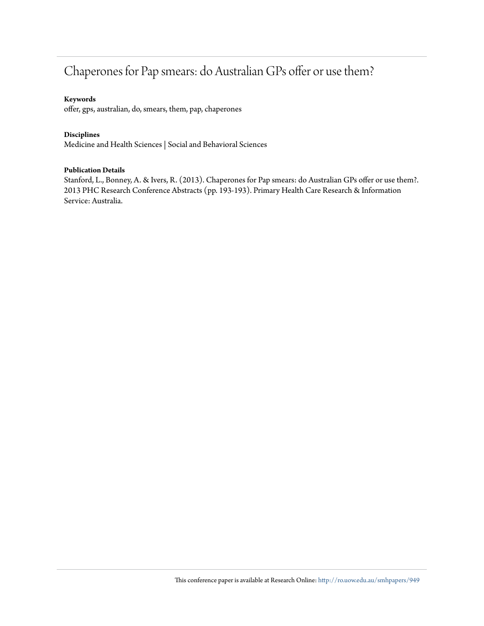## Chaperones for Pap smears: do Australian GPs offer or use them?

## **Keywords**

offer, gps, australian, do, smears, them, pap, chaperones

## **Disciplines**

Medicine and Health Sciences | Social and Behavioral Sciences

## **Publication Details**

Stanford, L., Bonney, A. & Ivers, R. (2013). Chaperones for Pap smears: do Australian GPs offer or use them?. 2013 PHC Research Conference Abstracts (pp. 193-193). Primary Health Care Research & Information Service: Australia.